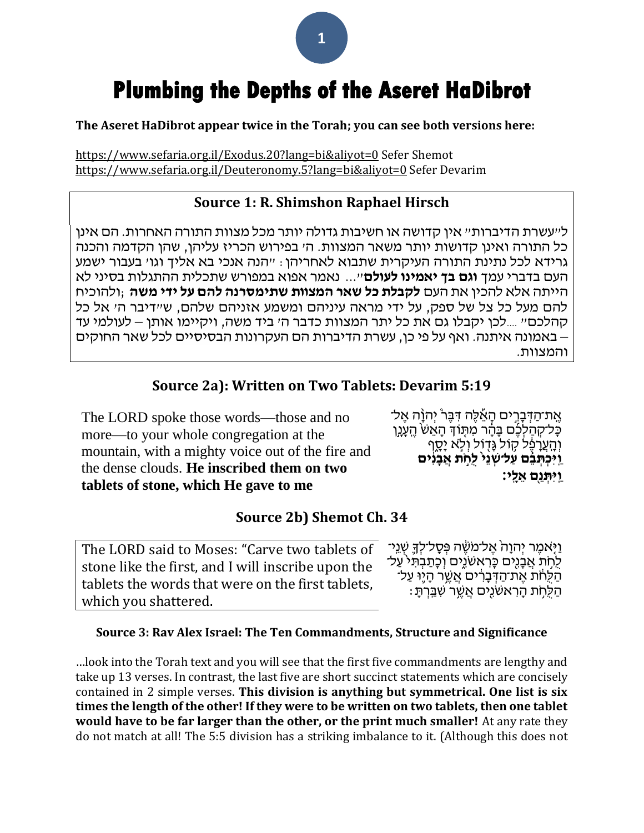# **Plumbing the Depths of the Aseret HaDibrot**

**The Aseret HaDibrot appear twice in the Torah; you can see both versions here:**

<https://www.sefaria.org.il/Exodus.20?lang=bi&aliyot=0> Sefer Shemot <https://www.sefaria.org.il/Deuteronomy.5?lang=bi&aliyot=0> Sefer Devarim

# **Source 1: R. Shimshon Raphael Hirsch**

ל״עשרת הדיברות״ אין קדושה או חשיבות גדולה יותר מכל מצוות התורה האחרות. הם אינן כל התורה ואינן קדושות יותר משאר המצוות. ה׳ בפירוש הכריז עליהן, שהן הקדמה והכנה גרידא לכל נתינת התורה העיקרית שתבוא לאחריהן: ״הנה אנכי בא אליך וגו׳ בעבור ישמע העם בדברי עמך **וגם בך יאמינו לעולם**"... נאמר אפוא במפורש שתכלית ההתגלות בסיני לא הייתה אלא להכין את העם **לקבלת כל שאר המצוות שתימסרנה להם על ידי משה** ;ולהוכיח להם מעל כל צל של ספק, על ידי מראה עיניהם ומשמע אזניהם שלהם, ש״דיבר ה׳ אל כל קהלכם״ ....לכן יקבלו גם את כל יתר המצוות כדבר ה׳ ביד משה, ויקיימו אותן – לעולמי עד – באמונה איתנה. ואף על פי כן, עשרת הדיברות הם העקרונות הבסיסיים לכל שאר החוקים והמצוות.

# **Source 2a): Written on Two Tablets: Devarim 5:19**

The LORD spoke those words—those and no more—to your whole congregation at the mountain, with a mighty voice out of the fire and the dense clouds. **He inscribed them on two tablets of stone, which He gave to me**

ְאֱת־הַדְּבָרֵים הַאֱלֶּה דְּבֵּרֹ יִהוַּ֔ה אֱל־ ְ כַּל־קְהַלְּכֶថ בָּהָר מִתְּוֹדְ הָאֵשׁ הֱעָנֶן וְהָעֲרָפֶ֫ל קְוֹל גָּדְוֹל וְלָא יָסֶף **וַיִּכְתְּבֶׁם עַל־שְׁנֵי לַחֶת אֲבַנִים ו**יתּנם אלי:

# **Source 2b) Shemot Ch. 34**

The LORD said to Moses: "Carve two tablets of stone like the first, and I will inscribe upon the tablets the words that were on the first tablets, which you shattered.

וַיִּאמֶר יִהוַהֹ אֱל־מֹשֶׂה פְּסָל־לְדָּ שָׁנֵי־ לְחִת אֲבָגִים כָּרְאשׁגֵים וְכָתַבִתְּי´עַל־ הַלְחֹת אֵת־הַדְּבָרִים אֲשֶׁר הָיֶוּ עַל־ ּ הַלַּחֹת הַרְאשֹׁנֵים אֲשֶׁר שָׁבֵּרְתַּ

## **Source 3: Rav Alex Israel: The Ten Commandments, Structure and Significance**

…look into the Torah text and you will see that the first five commandments are lengthy and take up 13 verses. In contrast, the last five are short succinct statements which are concisely contained in 2 simple verses. **This division is anything but symmetrical. One list is six times the length of the other! If they were to be written on two tablets, then one tablet would have to be far larger than the other, or the print much smaller!** At any rate they do not match at all! The 5:5 division has a striking imbalance to it. (Although this does not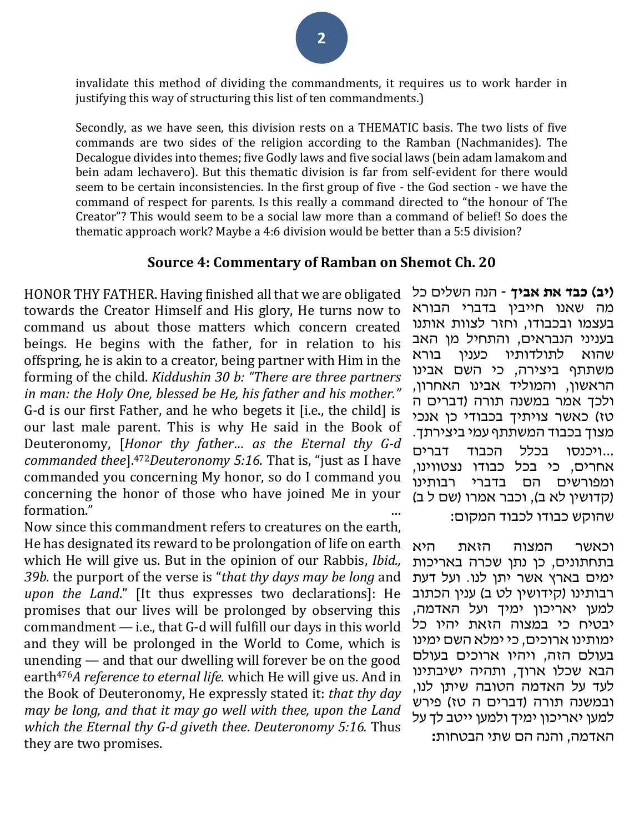invalidate this method of dividing the commandments, it requires us to work harder in justifying this way of structuring this list of ten commandments.)

Secondly, as we have seen, this division rests on a THEMATIC basis. The two lists of five commands are two sides of the religion according to the Ramban (Nachmanides). The Decalogue divides into themes; five Godly laws and five social laws (bein adam lamakom and bein adam lechavero). But this thematic division is far from self-evident for there would seem to be certain inconsistencies. In the first group of five - the God section - we have the command of respect for parents. Is this really a command directed to "the honour of The Creator"? This would seem to be a social law more than a command of belief! So does the thematic approach work? Maybe a 4:6 division would be better than a 5:5 division?

## **Source 4: Commentary of Ramban on Shemot Ch. 20**

HONOR THY FATHER. Having finished all that we are obligated towards the Creator Himself and His glory, He turns now to command us about those matters which concern created beings. He begins with the father, for in relation to his offspring, he is akin to a creator, being partner with Him in the forming of the child. *Kiddushin 30 b: "There are three partners in man: the Holy One, blessed be He, his father and his mother."* G-d is our first Father, and he who begets it [i.e., the child] is our last male parent. This is why He said in the Book of Deuteronomy, [*Honor thy father… as the Eternal thy G-d commanded thee*].472*Deuteronomy 5:16.* That is, "just as I have commanded you concerning My honor, so do I command you concerning the honor of those who have joined Me in your formation."

Now since this commandment refers to creatures on the earth, He has designated its reward to be prolongation of life on earth which He will give us. But in the opinion of our Rabbis, *Ibid., 39b.* the purport of the verse is "*that thy days may be long* and *upon the Land*." [It thus expresses two declarations]: He promises that our lives will be prolonged by observing this commandment — i.e., that G-d will fulfill our days in this world and they will be prolonged in the World to Come, which is unending — and that our dwelling will forever be on the good earth476*A reference to eternal life.* which He will give us. And in the Book of Deuteronomy, He expressly stated it: *that thy day may be long, and that it may go well with thee, upon the Land which the Eternal thy G-d giveth thee*. *Deuteronomy 5:16.* Thus they are two promises.

**)יב( כבד את אביך** - הנה השלים כל מה שאנו חייבין בדברי הבורא בעצמו ובכבודו, וחזר לצוות אותנו בעניני הנבראים, והתחיל מן האב שהוא לתולדותיו כענין בורא משתתף ביצירה, כי השם אבינו הראשון, והמוליד אבינו האחרון, ולכך אמר במשנה תורה )דברים ה טז) כאשר צויתיך בכבודי כן אנכי מצוך בכבוד המשתתף עמי ביצירתך. ...ויכנסו בכלל הכבוד דברים אחרים, כי בכל כבודו נצטווינו, ומפורשים הם בדברי רבותינו (קדושין לא ב), וכבר אמרו (שם ל ב) שהוקש כבודו לכבוד המקום:

וכאשר המצוה הזאת היא בתחתונים, כן נתן שכרה באריכות ימים בארץ אשר יתן לנו. ועל דעת רבותינו (קידושין לט ב) ענין הכתוב למען יאריכון ימיך ועל האדמה, יבטיח כי במצוה הזאת יהיו כל ימותינו ארוכים, כי ימלא השם ימינו בעולם הזה, ויהיו ארוכים בעולם הבא שכלו ארוך, ותהיה ישיבתינו לעד על האדמה הטובה שיתן לנו, ובמשנה תורה (דברים ה טז) פירש למען יאריכון ימיך ולמען ייטב לך על האדמה, והנה הם שתי הבטחות**:**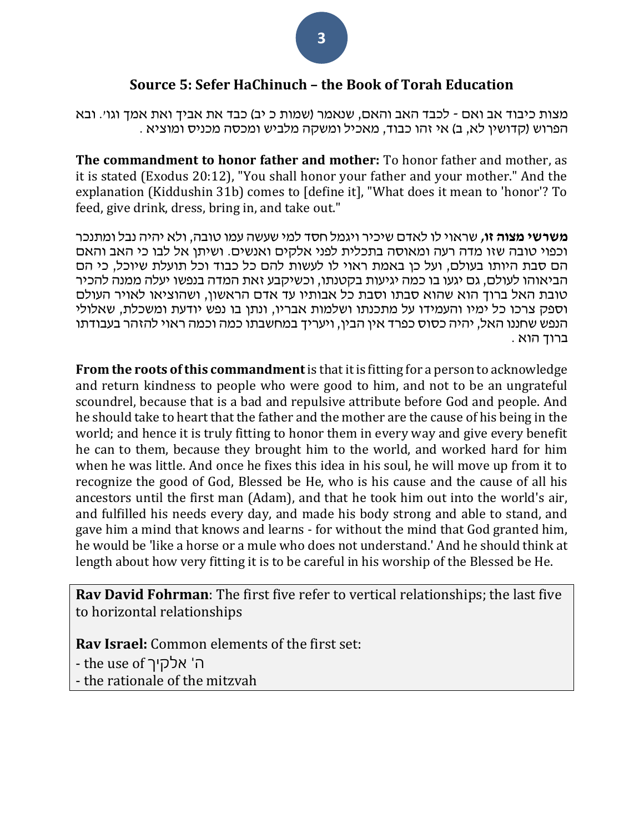# **Source 5: Sefer HaChinuch – the Book of Torah Education**

מצות כיבוד אב ואם - לכבד האב והאם, שנאמר (שמות כ יב) כבד את אביך ואת אמך וגו׳. ובא . הפרוש (קדושין לא, ב) אי זהו כבוד, מאכיל ומשקה מלביש ומכסה מכניס ומוציא

**The commandment to honor father and mother:** To honor father and mother, as it is stated (Exodus 20:12), "You shall honor your father and your mother." And the explanation (Kiddushin 31b) comes to [define it], "What does it mean to 'honor'? To feed, give drink, dress, bring in, and take out."

**משרשי מצוה זו,** שראוי לו לאדם שיכיר ויגמל חסד למי שעשה עמו טובה, ולא יהיה נבל ומתנכר וכפוי טובה שזו מדה רעה ומאוסה בתכלית לפני אלקים ואנשים. ושיתן אל לבו כי האב והאם הם סבת היותו בעולם, ועל כן באמת ראוי לו לעשות להם כל כבוד וכל תועלת שיוכל, כי הם הביאוהו לעולם, גם יגעו בו כמה יגיעות בקטנתו, וכשיקבע זאת המדה בנפשו יעלה ממנה להכיר טובת האל ברוך הוא שהוא סבתו וסבת כל אבותיו עד אדם הראשון, ושהוציאו לאויר העולם וספק צרכו כל ימיו והעמידו על מתכנתו ושלמות אבריו, ונתן בו נפש יודעת ומשכלת, שאלולי הנפש שחננו האל, יהיה כסוס כפרד אין הבין, ויעריך במחשבתו כמה וכמה ראוי להזהר בעבודתו ברוך הוא .

**From the roots of this commandment**is that it is fitting for a person to acknowledge and return kindness to people who were good to him, and not to be an ungrateful scoundrel, because that is a bad and repulsive attribute before God and people. And he should take to heart that the father and the mother are the cause of his being in the world; and hence it is truly fitting to honor them in every way and give every benefit he can to them, because they brought him to the world, and worked hard for him when he was little. And once he fixes this idea in his soul, he will move up from it to recognize the good of God, Blessed be He, who is his cause and the cause of all his ancestors until the first man (Adam), and that he took him out into the world's air, and fulfilled his needs every day, and made his body strong and able to stand, and gave him a mind that knows and learns - for without the mind that God granted him, he would be 'like a horse or a mule who does not understand.' And he should think at length about how very fitting it is to be careful in his worship of the Blessed be He.

**Rav David Fohrman**: The first five refer to vertical relationships; the last five to horizontal relationships

**Rav Israel:** Common elements of the first set:

- the use of ה' אלקיך

- the rationale of the mitzvah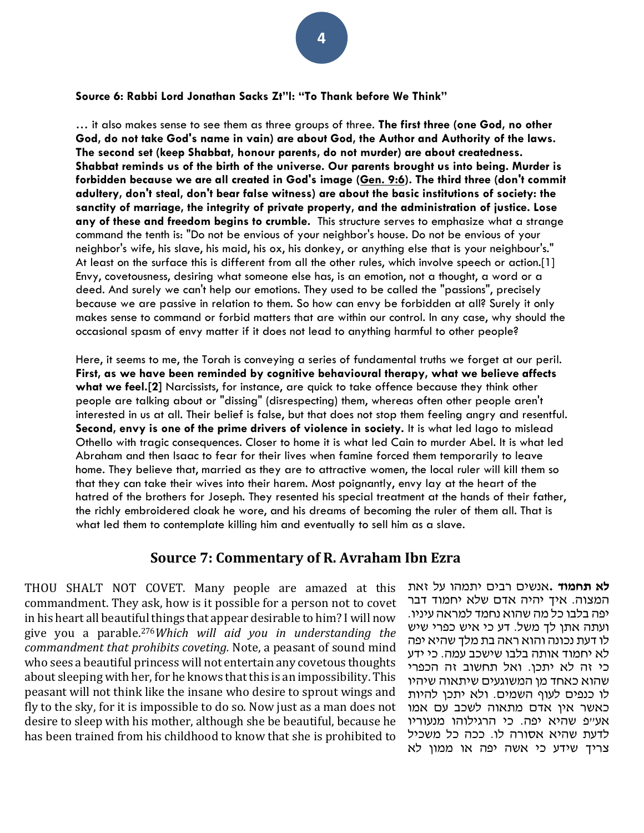#### **Source 6: Rabbi Lord Jonathan Sacks Zt"l: "To Thank before We Think"**

… it also makes sense to see them as three groups of three. **The first three (one God, no other God, do not take God's name in vain) are about God, the Author and Authority of the laws. The second set (keep Shabbat, honour parents, do not murder) are about createdness. Shabbat reminds us of the birth of the universe. Our parents brought us into being. Murder is forbidden because we are all created in God's image [\(Gen. 9:6\)](https://www.sefaria.org/Genesis.9.6?lang=he-en&utm_source=aish.com&utm_medium=sefaria_linker). The third three (don't commit adultery, don't steal, don't bear false witness) are about the basic institutions of society: the sanctity of marriage, the integrity of private property, and the administration of justice. Lose any of these and freedom begins to crumble.** This structure serves to emphasize what a strange command the tenth is: "Do not be envious of your neighbor's house. Do not be envious of your neighbor's wife, his slave, his maid, his ox, his donkey, or anything else that is your neighbour's." At least on the surface this is different from all the other rules, which involve speech or action.[1] Envy, covetousness, desiring what someone else has, is an emotion, not a thought, a word or a deed. And surely we can't help our emotions. They used to be called the "passions", precisely because we are passive in relation to them. So how can envy be forbidden at all? Surely it only makes sense to command or forbid matters that are within our control. In any case, why should the occasional spasm of envy matter if it does not lead to anything harmful to other people?

Here, it seems to me, the Torah is conveying a series of fundamental truths we forget at our peril. **First, as we have been reminded by cognitive behavioural therapy, what we believe affects what we feel.[2]** Narcissists, for instance, are quick to take offence because they think other people are talking about or "dissing" (disrespecting) them, whereas often other people aren't interested in us at all. Their belief is false, but that does not stop them feeling angry and resentful. **Second, envy is one of the prime drivers of violence in society.** It is what led Iago to mislead Othello with tragic consequences. Closer to home it is what led Cain to murder Abel. It is what led Abraham and then Isaac to fear for their lives when famine forced them temporarily to leave home. They believe that, married as they are to attractive women, the local ruler will kill them so that they can take their wives into their harem. Most poignantly, envy lay at the heart of the hatred of the brothers for Joseph. They resented his special treatment at the hands of their father, the richly embroidered cloak he wore, and his dreams of becoming the ruler of them all. That is what led them to contemplate killing him and eventually to sell him as a slave.

#### **Source 7: Commentary of R. Avraham Ibn Ezra**

THOU SHALT NOT COVET. Many people are amazed at this commandment. They ask, how is it possible for a person not to covet in his heart all beautiful things that appear desirable to him? I will now give you a parable.276*Which will aid you in understanding the commandment that prohibits coveting.* Note, a peasant of sound mind who sees a beautiful princess will not entertain any covetous thoughts about sleeping with her, for he knows that this is an impossibility. This peasant will not think like the insane who desire to sprout wings and fly to the sky, for it is impossible to do so. Now just as a man does not desire to sleep with his mother, although she be beautiful, because he has been trained from his childhood to know that she is prohibited to

**לא תחמוד .**אנשים רבים יתמהו על זאת המצוה. איך יהיה אדם שלא יחמוד דבר יפה בלבו כל מה שהוא נחמד למראה עיניו. ועתה אתן לך משל. דע כי איש כפרי שיש לו דעת נכונה והוא ראה בת מלך שהיא יפה לא יחמוד אותה בלבו שישכב עמה. כי ידע כי זה לא יתכן. ואל תחשוב זה הכפרי שהוא כאחד מן המשוגעים שיתאוה שיהיו לו כנפים לעוף השמים. ולא יתכן להיות כאשר אין אדם מתאוה לשכב עם אמו אע"פ שהיא יפה. כי הרגילוהו מנעוריו לדעת שהיא אסורה לו. ככה כל משכיל צריך שידע כי אשה יפה או ממון לא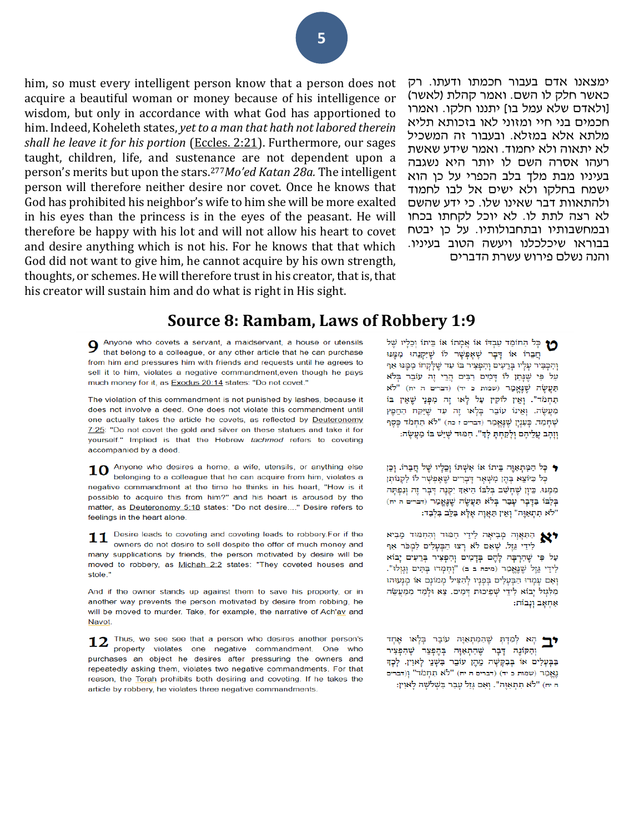him, so must every intelligent person know that a person does not acquire a beautiful woman or money because of his intelligence or wisdom, but only in accordance with what God has apportioned to him. Indeed, Koheleth states, *yet to a man that hath not labored therein shall he leave it for his portion* [\(Eccles. 2:21\)](/Ecclesiastes.2.21). Furthermore, our sages taught, children, life, and sustenance are not dependent upon a person's merits but upon the stars.277*Mo'ed Katan 28a.* The intelligent person will therefore neither desire nor covet. Once he knows that God has prohibited his neighbor's wife to him she will be more exalted in his eyes than the princess is in the eyes of the peasant. He will therefore be happy with his lot and will not allow his heart to covet and desire anything which is not his. For he knows that that which God did not want to give him, he cannot acquire by his own strength, thoughts, or schemes. He will therefore trust in his creator, that is, that his creator will sustain him and do what is right in His sight.

ימצאנו אדם בעבור חכמתו ודעתו. רק כאשר חלק לו השם. ואמר קהלת )לאשר( ]ולאדם שלא עמל בו[ יתננו חלקו. ואמרו חכמים בני חיי ומזוני לאו בזכותא תליא מלתא אלא במזלא. ובעבור זה המשכיל לא יתאוה ולא יחמוד. ואמר שידע שאשת רעהו אסרה השם לו יותר היא נשגבה בעיניו מבת מלך בלב הכפרי על כן הוא ישמח בחלקו ולא ישים אל לבו לחמוד ולהתאוות דבר שאינו שלו. כי ידע שהשם לא רצה לתת לו. לא יוכל לקחתו בכחו ובמחשבותיו ובתחבולותיו. על כן יבטח בבוראו שיכלכלנו ויעשה הטוב בעיניו. והנה נשלם פירוש עשרת הדברים

## **Source 8: Rambam, Laws of Robbery 1:9**

 $\sum$  Anyone who covets a servant, a maidservant, a house or utensils that belong to a colleague, or any other article that he can purchase from him and pressures him with friends and requests until he agrees to sell it to him, violates a negative commandment, even though he pays much money for it, as Exodus 20:14 states: "Do not covet."

The violation of this commandment is not punished by lashes, because it does not involve a deed. One does not violate this commandment until one actually takes the article he covets, as reflected by Deuteronomy  $7:25$ : "Do not covet the gold and silver on these statues and take it for yourself." Implied is that the Hebrew tachmod refers to coveting accompanied by a deed.

Anyone who desires a home, a wife, utensils, or anything else 10 belonging to a colleague that he can acquire from him, violates a negative commandment at the time he thinks in his heart, "How is it possible to acquire this from him?" and his heart is aroused by the matter, as Deuteronomy 5:18 states: "Do not desire...." Desire refers to feelings in the heart alone.

Desire leads to coveting and coveting leads to robbery.For if the 11 owners do not desire to sell despite the offer of much money and many supplications by friends, the person motivated by desire will be moved to robbery, as Michah 2:2 states: "They coveted houses and stole."

And if the owner stands up against them to save his property, or in another way prevents the person motivated by desire from robbing, he will be moved to murder. Take, for example, the narrative of Ach'av and Navot.

Thus, we see see that a person who desires another person's 12 property violates one negative commandment. One who purchases an object he desires after pressuring the owners and repeatedly asking them, violates two negative commandments. For that reason, the Torah prohibits both desiring and coveting. If he takes the article by robbery, he violates three negative commandments.

יתוֹ וְבֵלְיו שֶׁל הַחוֹמֵד עַבְדּוֹ אוֹ אֲמְתוֹ אוֹ בֵּיתוֹ וְבֵלְיו שֶׁל חֲבֵרוֹ אוֹ דְּבָר שֶׁאֶפְשָׁר לוֹ שֶׁיִקְנֵהוּ מִמֶּנּוּ וְהִכְבִּיר עָלָיו בְּרֵעִים וְהִפְצִיר בּוֹ עַד שֵׁלְקָחוֹ מִמֵּנּוּ אַף עַל פִּי שֶׁנְּתַן לוֹ דְּמִים רַבִּים הֲרֵי זֶה עוֹבֵר בְּלֹא  $\aleph^{\natural n}$  (הברים ה יח) (דברים ה יח) תַחְמֹד". וְאֵין לוֹקִין עַל לְאוּ זֶה מִפְּנֵי שֶׁאֵין בּוֹ מַעֲשֶׂה. וְאֵינוֹ עוֹבֵר בְּלָאוּ זֶה עַד שֶׁיִּקַּח הַחֲפֶץ שֶׁחָמַד. כָּעָנְיָן שֵׁנֵאֲמַר (דברים ז כה) "לֹא תַחְמֹד כֵּסֵף וזהָב עֲלֵיהֶם וְלַקְחָתָּ לַדְּ". חִמּוּד שֶׁיֵּשׁ בּוֹ מַעֲשֶׂה:

● כֵּל הַמַּתְאַוֶּה בֵּיתוֹ אוֹ אֲשָׁתּוֹ וְכֵלֵיוּ שֵׁל חֲבָרוֹ. וְכֵן כָּל כַּיוֹצֵא בָּהֵן מְשָׁאָר דְּבָרִים שֵׁאֲפָשָׁר לוֹ לִקְנוֹתַן מִמֵּנּוּ. כֵּיוַן שֶׁחַשָּׁב בִּלְבּוֹ הֵיאָךְ יִקְנֵה דָּבָר זֶה וְנִפְתָּה בַּלְבּוֹ בַדְּבָר עָבָר בָּלֹא תַּעֲשֶׂה שַׁנֵּאֲמָר (דברים ה יח) "לֹא תִתְאַוֶּה" וְאֵין תַּאֲוָה אֵלָּא בַּלֵּב בִּלְבָד:

התאור מביאה לידי חמוד והחמוד מביא לִידֵי גֵזֶל. שֶׁאָם לֹא רָצוּ הַבְּעָלִים לִמְכֹּר אַף עַל פִּי שֵׁהְרְבָּה לָהֶם בְּדָמְים וְהִפְצִיר בְּרֵעִים יָבוֹא לִידֵי גֵזֶל שֶׁנֶאֱמַר (מיכה ב ב) "וְחָמְדוּ בָּתִּים וְגָזְלוּ". וְאִם עָמְדוּ הַבְּעָלִים בְּפָנָיו לְהַצִּיל מְמוֹנָם אוֹ מְנָעוּהוּ מִלְּגְזל יָבוֹא לִידֵי שְׁפִיכוּת דְּמִים. צֵא וּלְמַד מִמַּעֲשֵׂה אַחָאָב וְנָבוֹת:

ים הא לְמַדְתְּ שֶׁהַמְתְאַוֶּה עוֹבֵר בְּלְאוּ אֶחְד וְהַקּוֹנֵה דָּבָר שֵׁהְתְאַוָּה בְּהֵפְצֵר שֵׁהְפִצִיר בַּבְּעָלִים אוֹ בְּבַקְשָׁה מֵהֶן עוֹבֵר בִּשְׁנֵי לָאוִין. לְכָךָ נַאֲמָר (שמות כ יד) (דברים ה יח) "לֹא תַחְמֹד" וְ(דברים ה יח) "לֹא תִתְאַוֶּה". וְאִם גַּזֵל עַבָר בְּשָׁלֹשָׁה לַאוִין: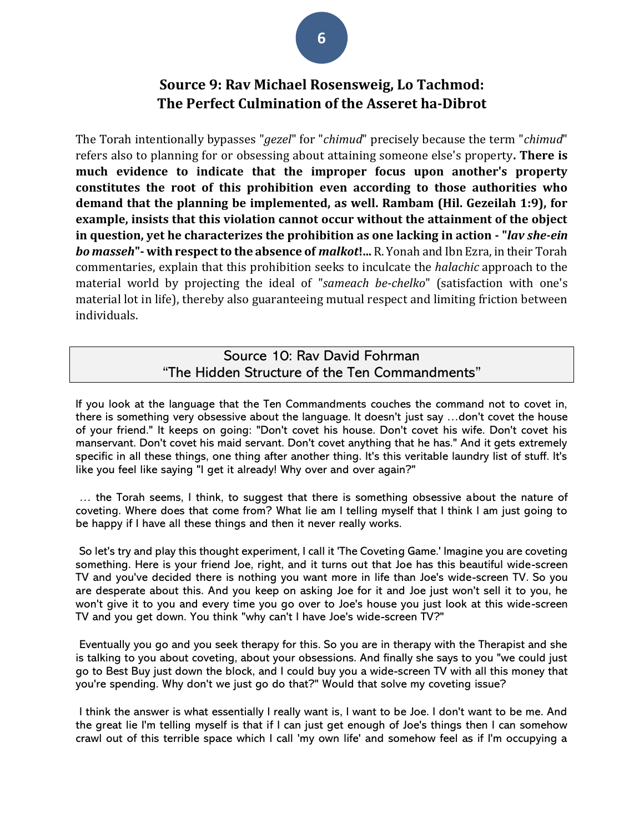# **Source 9: Rav Michael Rosensweig, Lo Tachmod: The Perfect Culmination of the Asseret ha-Dibrot**

The Torah intentionally bypasses "*gezel*" for "*chimud*" precisely because the term "*chimud*" refers also to planning for or obsessing about attaining someone else's property**. There is much evidence to indicate that the improper focus upon another's property constitutes the root of this prohibition even according to those authorities who demand that the planning be implemented, as well. Rambam (Hil. Gezeilah 1:9), for example, insists that this violation cannot occur without the attainment of the object in question, yet he characterizes the prohibition as one lacking in action - "***lav she-ein bo masseh***"- with respect to the absence of** *malkot***!...** R. Yonah and Ibn Ezra, in their Torah commentaries, explain that this prohibition seeks to inculcate the *halachic* approach to the material world by projecting the ideal of "*sameach be-chelko*" (satisfaction with one's material lot in life), thereby also guaranteeing mutual respect and limiting friction between individuals.

## Source 10: Rav David Fohrman "The Hidden Structure of the Ten Commandments"

If you look at the language that the Ten Commandments couches the command not to covet in, there is something very obsessive about the language. It doesn't just say …don't covet the house of your friend." It keeps on going: "Don't covet his house. Don't covet his wife. Don't covet his manservant. Don't covet his maid servant. Don't covet anything that he has." And it gets extremely specific in all these things, one thing after another thing. It's this veritable laundry list of stuff. It's like you feel like saying "I get it already! Why over and over again?"

… the Torah seems, I think, to suggest that there is something obsessive about the nature of coveting. Where does that come from? What lie am I telling myself that I think I am just going to be happy if I have all these things and then it never really works.

So let's try and play this thought experiment, I call it 'The Coveting Game.' Imagine you are coveting something. Here is your friend Joe, right, and it turns out that Joe has this beautiful wide-screen TV and you've decided there is nothing you want more in life than Joe's wide-screen TV. So you are desperate about this. And you keep on asking Joe for it and Joe just won't sell it to you, he won't give it to you and every time you go over to Joe's house you just look at this wide-screen TV and you get down. You think "why can't I have Joe's wide-screen TV?"

Eventually you go and you seek therapy for this. So you are in therapy with the Therapist and she is talking to you about coveting, about your obsessions. And finally she says to you "we could just go to Best Buy just down the block, and I could buy you a wide-screen TV with all this money that you're spending. Why don't we just go do that?" Would that solve my coveting issue?

I think the answer is what essentially I really want is, I want to be Joe. I don't want to be me. And the great lie I'm telling myself is that if I can just get enough of Joe's things then I can somehow crawl out of this terrible space which I call 'my own life' and somehow feel as if I'm occupying a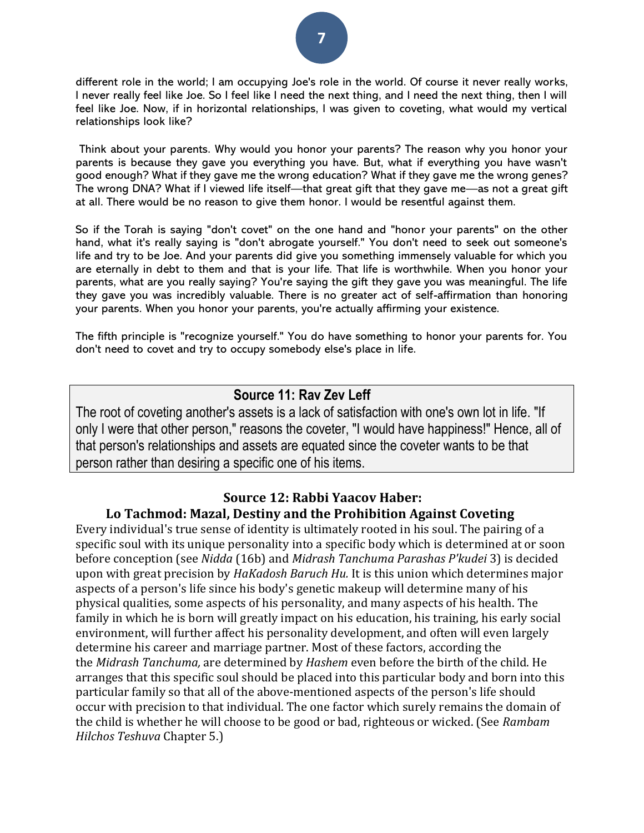

different role in the world; I am occupying Joe's role in the world. Of course it never really works, I never really feel like Joe. So I feel like I need the next thing, and I need the next thing, then I will feel like Joe. Now, if in horizontal relationships, I was given to coveting, what would my vertical relationships look like?

Think about your parents. Why would you honor your parents? The reason why you honor your parents is because they gave you everything you have. But, what if everything you have wasn't good enough? What if they gave me the wrong education? What if they gave me the wrong genes? The wrong DNA? What if I viewed life itself—that great gift that they gave me—as not a great gift at all. There would be no reason to give them honor. I would be resentful against them.

So if the Torah is saying "don't covet" on the one hand and "honor your parents" on the other hand, what it's really saying is "don't abrogate yourself." You don't need to seek out someone's life and try to be Joe. And your parents did give you something immensely valuable for which you are eternally in debt to them and that is your life. That life is worthwhile. When you honor your parents, what are you really saying? You're saying the gift they gave you was meaningful. The life they gave you was incredibly valuable. There is no greater act of self-affirmation than honoring your parents. When you honor your parents, you're actually affirming your existence.

The fifth principle is "recognize yourself." You do have something to honor your parents for. You don't need to covet and try to occupy somebody else's place in life.

# **Source 11: Rav Zev Leff**

The root of coveting another's assets is a lack of satisfaction with one's own lot in life. "If only I were that other person," reasons the coveter, "I would have happiness!" Hence, all of that person's relationships and assets are equated since the coveter wants to be that person rather than desiring a specific one of his items.

## **Source 12: Rabbi Yaacov Haber: Lo Tachmod: Mazal, Destiny and the Prohibition Against Coveting**

Every individual's true sense of identity is ultimately rooted in his soul. The pairing of a specific soul with its unique personality into a specific body which is determined at or soon before conception (see *Nidda* (16b) and *Midrash Tanchuma Parashas P'kudei* 3) is decided upon with great precision by *HaKadosh Baruch Hu.* It is this union which determines major aspects of a person's life since his body's genetic makeup will determine many of his physical qualities, some aspects of his personality, and many aspects of his health. The family in which he is born will greatly impact on his education, his training, his early social environment, will further affect his personality development, and often will even largely determine his career and marriage partner. Most of these factors, according the the *Midrash Tanchuma,* are determined by *Hashem* even before the birth of the child. He arranges that this specific soul should be placed into this particular body and born into this particular family so that all of the above-mentioned aspects of the person's life should occur with precision to that individual. The one factor which surely remains the domain of the child is whether he will choose to be good or bad, righteous or wicked. (See *Rambam Hilchos Teshuva* Chapter 5.)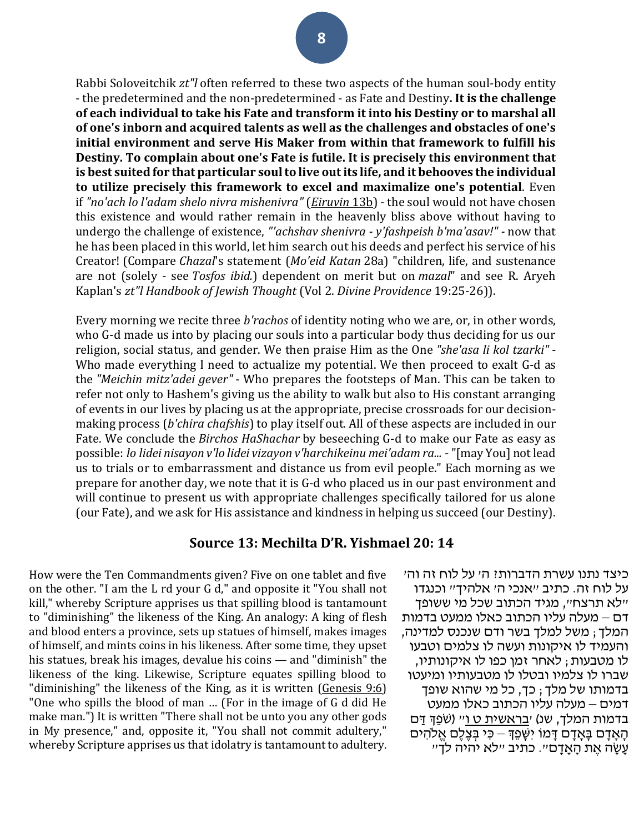Rabbi Soloveitchik *zt"l* often referred to these two aspects of the human soul-body entity - the predetermined and the non-predetermined - as Fate and Destiny**. It is the challenge of each individual to take his Fate and transform it into his Destiny or to marshal all of one's inborn and acquired talents as well as the challenges and obstacles of one's initial environment and serve His Maker from within that framework to fulfill his Destiny. To complain about one's Fate is futile. It is precisely this environment that is best suited for that particular soul to live out its life, and it behooves the individual to utilize precisely this framework to excel and maximalize one's potential**. Even if *"no'ach lo l'adam shelo nivra mishenivra"* (*[Eiruvin](https://www.sefaria.org/Eruvin.13b?lang=he-en&utm_source=torahweb.org&utm_medium=sefaria_linker)* [13b\)](https://www.sefaria.org/Eruvin.13b?lang=he-en&utm_source=torahweb.org&utm_medium=sefaria_linker) - the soul would not have chosen this existence and would rather remain in the heavenly bliss above without having to undergo the challenge of existence, *"'achshav shenivra - y'fashpeish b'ma'asav!" -* now that he has been placed in this world, let him search out his deeds and perfect his service of his Creator! (Compare *Chazal*'s statement (*Mo'eid Katan* 28a) "children, life, and sustenance are not (solely - see *Tosfos ibid.*) dependent on merit but on *mazal*" and see R. Aryeh Kaplan's *zt"l Handbook of Jewish Thought* (Vol 2. *Divine Providence* 19:25-26)).

Every morning we recite three *b'rachos* of identity noting who we are, or, in other words, who G-d made us into by placing our souls into a particular body thus deciding for us our religion, social status, and gender. We then praise Him as the One *"she'asa li kol tzarki"* - Who made everything I need to actualize my potential. We then proceed to exalt G-d as the *"Meichin mitz'adei gever"* - Who prepares the footsteps of Man. This can be taken to refer not only to Hashem's giving us the ability to walk but also to His constant arranging of events in our lives by placing us at the appropriate, precise crossroads for our decisionmaking process (*b'chira chafshis*) to play itself out. All of these aspects are included in our Fate. We conclude the *Birchos HaShachar* by beseeching G-d to make our Fate as easy as possible: *lo lidei nisayon v'lo lidei vizayon v'harchikeinu mei'adam ra...* -"[may You] not lead us to trials or to embarrassment and distance us from evil people." Each morning as we prepare for another day, we note that it is G-d who placed us in our past environment and will continue to present us with appropriate challenges specifically tailored for us alone (our Fate), and we ask for His assistance and kindness in helping us succeed (our Destiny).

### **Source 13: Mechilta D'R. Yishmael 20: 14**

How were the Ten Commandments given? Five on one tablet and five on the other. "I am the L rd your G d," and opposite it "You shall not kill," whereby Scripture apprises us that spilling blood is tantamount to "diminishing" the likeness of the King. An analogy: A king of flesh and blood enters a province, sets up statues of himself, makes images of himself, and mints coins in his likeness. After some time, they upset his statues, break his images, devalue his coins — and "diminish" the likeness of the king. Likewise, Scripture equates spilling blood to "diminishing" the likeness of the King, as it is written [\(Genesis 9:6\)](/Genesis.9.6) "One who spills the blood of man … (For in the image of G d did He make man.") It is written "There shall not be unto you any other gods in My presence," and, opposite it, "You shall not commit adultery," whereby Scripture apprises us that idolatry is tantamount to adultery.

כיצד נתנו עשרת הדברות? ה' על לוח זה וה' על לוח זה. כתיב "אנכי ה' אלהיך" וכנגדו "לא תרצח", מגיד הכתוב שכל מי ששופך דם – מעלה עליו הכתוב כאלו ממעט בדמות המלך; משל למלך בשר ודם שנכנס למדינה, והעמיד לו איקונות ועשה לו צלמים וטבעו לו מטבעות; לאחר זמן כפו לו איקונותיו, שברו לו צלמיו ובטלו לו מטבעותיו ומיעטו בדמותו של מלך; כך, כל מי שהוא שופך דמים – מעלה עליו הכתוב כאלו ממעט בדמות המלך, שנ) י<u>[בראשית ט ו](/Genesis.9.6)</u>״ (שֹׁפֵּךְ דַּם הָאָדָם בָּאָדָם דָּמוֹ יִשָּׁפֵדְּ – כִּי בִּצֶלֶם אֱלֹהִים עֵשָׂה אֶת הָאֲדָם״. כתיב ״לא יהיה לדי״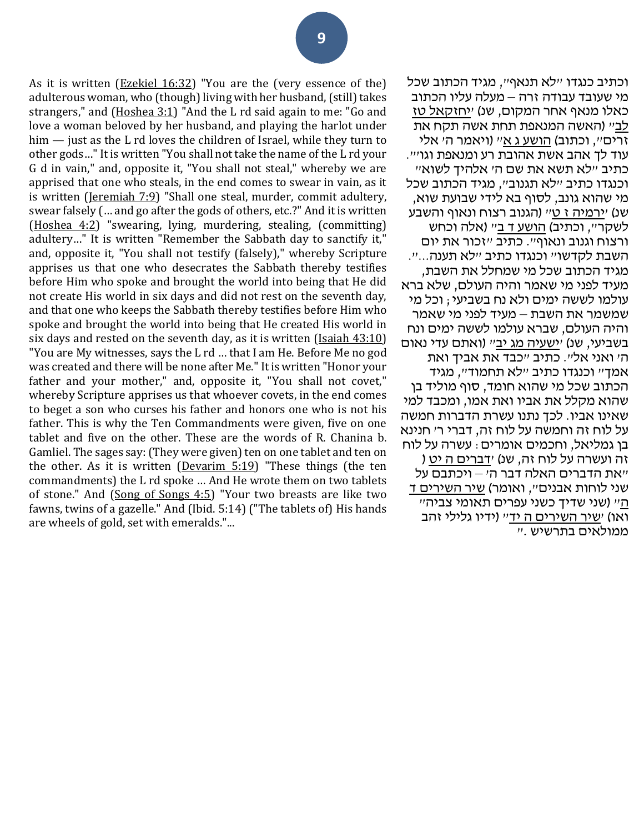As it is written [\(Ezekiel 16:32\)](/Ezekiel.16.32) "You are the (very essence of the) adulterous woman, who (though) living with her husband, (still) takes strangers," and [\(Hoshea 3:1\)](/Hosea.3.1) "And the L rd said again to me: "Go and love a woman beloved by her husband, and playing the harlot under him — just as the L rd loves the children of Israel, while they turn to other gods…" It is written "You shall not take the name of the L rd your G d in vain," and, opposite it, "You shall not steal," whereby we are apprised that one who steals, in the end comes to swear in vain, as it is written [\(Jeremiah 7:9\)](/Jeremiah.7.9) "Shall one steal, murder, commit adultery, swear falsely (… and go after the gods of others, etc.?" And it is written [\(Hoshea 4:2\)](/Hosea.4.2) "swearing, lying, murdering, stealing, (committing) adultery…" It is written "Remember the Sabbath day to sanctify it," and, opposite it, "You shall not testify (falsely)," whereby Scripture apprises us that one who desecrates the Sabbath thereby testifies before Him who spoke and brought the world into being that He did not create His world in six days and did not rest on the seventh day, and that one who keeps the Sabbath thereby testifies before Him who spoke and brought the world into being that He created His world in six days and rested on the seventh day, as it is written (Isaiah  $43:10$ ) "You are My witnesses, says the L rd … that I am He. Before Me no god was created and there will be none after Me." It is written "Honor your father and your mother," and, opposite it, "You shall not covet," whereby Scripture apprises us that whoever covets, in the end comes to beget a son who curses his father and honors one who is not his father. This is why the Ten Commandments were given, five on one tablet and five on the other. These are the words of R. Chanina b. Gamliel. The sages say: (They were given) ten on one tablet and ten on the other. As it is written [\(Devarim 5:19\)](/Deuteronomy.5.19) "These things (the ten commandments) the L rd spoke … And He wrote them on two tablets of stone." And [\(Song of Songs 4:5\)](/Song_of_Songs.4.5) "Your two breasts are like two fawns, twins of a gazelle." And (Ibid. 5:14) ("The tablets of) His hands are wheels of gold, set with emeralds."...

וכתיב כנגדו "לא תנאף", מגיד הכתוב שכל מי שעובד עבודה זרה – מעלה עליו הכתוב כאלו מנאף אחר המקום, שנ) '[יחזקאל טז](/Ezekiel.16.32)  <u>[לב](/Ezekiel.16.32)</u>״ (האשה המנאפת תחת אשה תקח את זרים", וכתוב) [הושע ג א](/Hosea.3.1)" (ויאמר ה' אלי עוד לך אהב אשת אהובת רע ומנאפת וגו'". כתיב "לא תשא את שם ה' אלהיך לשוא" וכנגדו כתיב "לא תגנוב", מגיד הכתוב שכל מי שהוא גונב, לסוף בא לידי שבועת שוא, שנ) '[ירמיה ז ט](/Jeremiah.7.9)" (הגנוב רצוח ונאוף והשבע לשקר״, וכתיב) <u>[הושע ד ב](/Hosea.4.2)</u>״ (אלה וכחש ורצוח וגנוב ונאוף". כתיב "זכור את יום השבת לקדשו" וכנגדו כתיב "לא תענה...". מגיד הכתוב שכל מי שמחלל את השבת, מעיד לפני מי שאמר והיה העולם, שלא ברא עולמו לששה ימים ולא נח בשביעי; וכל מי שמשמר את השבת – מעיד לפני מי שאמר והיה העולם, שברא עולמו לששה ימים ונח בשביעי, שנ) '[ישעיה מג יב](/Isaiah.43.12)" (ואתם עדי נאום ה' ואני אל". כתיב "כבד את אביך ואת אמך" וכנגדו כתיב "לא תחמוד", מגיד הכתוב שכל מי שהוא חומד, סוף מוליד בן שהוא מקלל את אביו ואת אמו, ומכבד למי שאינו אביו. לכך נתנו עשרת הדברות חמשה על לוח זה וחמשה על לוח זה, דברי ר' חנינא בן גמליאל, וחכמים אומרים: עשרה על לוח זה ועשרה על לוח זה, שנ ) '[דברים ה יט](/Deuteronomy.5.19) ( "את הדברים האלה דבר ה' – ויכתבם על שני לוחות אבנים", ואומר) [שיר השירים ד](/Song_of_Songs.4.5)  [ה](/Song_of_Songs.4.5)" (שני שדיך כשני עפרים תאומי צביה" ואו) י<u>[שיר השירים ה יד](/Song_of_Songs.5.14)</u>״ (ידיו גלילי זהב ממולאים בתרשיש ."